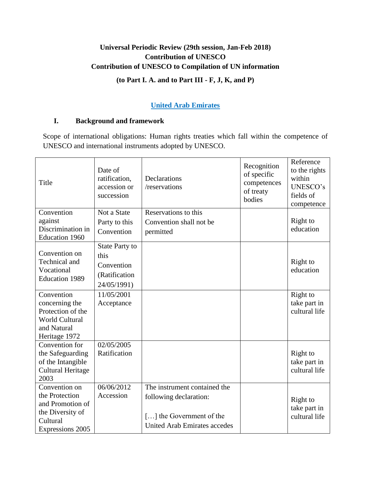## **Universal Periodic Review (29th session, Jan-Feb 2018) Contribution of UNESCO Contribution of UNESCO to Compilation of UN information (to Part I. A. and to Part III - F, J, K, and P)**

# **United Arab Emirates**

### **I. Background and framework**

Scope of international obligations: Human rights treaties which fall within the competence of UNESCO and international instruments adopted by UNESCO.

| Title                               | Date of<br>ratification,<br>accession or<br>succession | Declarations<br>/reservations       | Recognition<br>of specific<br>competences<br>of treaty<br>bodies | Reference<br>to the rights<br>within<br>UNESCO's<br>fields of<br>competence |
|-------------------------------------|--------------------------------------------------------|-------------------------------------|------------------------------------------------------------------|-----------------------------------------------------------------------------|
| Convention                          | Not a State                                            | Reservations to this                |                                                                  |                                                                             |
| against                             | Party to this                                          | Convention shall not be             |                                                                  | Right to                                                                    |
| Discrimination in<br>Education 1960 | Convention                                             | permitted                           |                                                                  | education                                                                   |
|                                     | <b>State Party to</b>                                  |                                     |                                                                  |                                                                             |
| Convention on                       | this                                                   |                                     |                                                                  |                                                                             |
| Technical and                       | Convention                                             |                                     |                                                                  | Right to                                                                    |
| Vocational                          | (Ratification                                          |                                     |                                                                  | education                                                                   |
| <b>Education 1989</b>               | 24/05/1991)                                            |                                     |                                                                  |                                                                             |
| Convention                          | 11/05/2001                                             |                                     |                                                                  | Right to                                                                    |
| concerning the                      | Acceptance                                             |                                     |                                                                  | take part in                                                                |
| Protection of the                   |                                                        |                                     |                                                                  | cultural life                                                               |
| <b>World Cultural</b>               |                                                        |                                     |                                                                  |                                                                             |
| and Natural                         |                                                        |                                     |                                                                  |                                                                             |
| Heritage 1972<br>Convention for     | 02/05/2005                                             |                                     |                                                                  |                                                                             |
| the Safeguarding                    | Ratification                                           |                                     |                                                                  | Right to                                                                    |
| of the Intangible                   |                                                        |                                     |                                                                  | take part in                                                                |
| <b>Cultural Heritage</b>            |                                                        |                                     |                                                                  | cultural life                                                               |
| 2003                                |                                                        |                                     |                                                                  |                                                                             |
| Convention on                       | 06/06/2012                                             | The instrument contained the        |                                                                  |                                                                             |
| the Protection                      | Accession                                              | following declaration:              |                                                                  | Right to                                                                    |
| and Promotion of                    |                                                        |                                     |                                                                  | take part in                                                                |
| the Diversity of                    |                                                        | [] the Government of the            |                                                                  | cultural life                                                               |
| Cultural                            |                                                        | <b>United Arab Emirates accedes</b> |                                                                  |                                                                             |
| Expressions 2005                    |                                                        |                                     |                                                                  |                                                                             |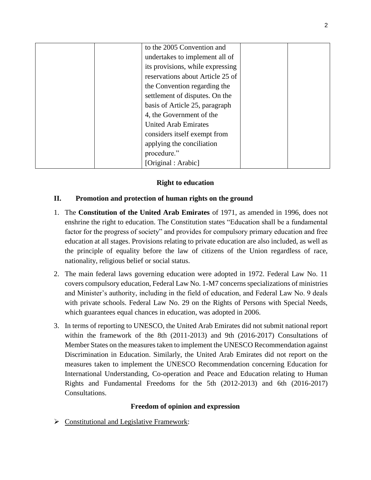| to the 2005 Convention and       |  |
|----------------------------------|--|
| undertakes to implement all of   |  |
| its provisions, while expressing |  |
| reservations about Article 25 of |  |
| the Convention regarding the     |  |
| settlement of disputes. On the   |  |
| basis of Article 25, paragraph   |  |
| 4, the Government of the         |  |
| <b>United Arab Emirates</b>      |  |
| considers itself exempt from     |  |
| applying the conciliation        |  |
| procedure."                      |  |
| [Original : Arabic]              |  |
|                                  |  |

## **Right to education**

#### **II. Promotion and protection of human rights on the ground**

- 1. The **Constitution of the United Arab Emirates** of 1971, as amended in 1996, does not enshrine the right to education. The Constitution states "Education shall be a fundamental factor for the progress of society" and provides for compulsory primary education and free education at all stages. Provisions relating to private education are also included, as well as the principle of equality before the law of citizens of the Union regardless of race, nationality, religious belief or social status.
- 2. The main federal laws governing education were adopted in 1972. Federal Law No. 11 covers compulsory education, Federal Law No. 1-M7 concerns specializations of ministries and Minister's authority, including in the field of education, and Federal Law No. 9 deals with private schools. Federal Law No. 29 on the Rights of Persons with Special Needs, which guarantees equal chances in education, was adopted in 2006.
- 3. In terms of reporting to UNESCO, the United Arab Emirates did not submit national report within the framework of the 8th (2011-2013) and 9th (2016-2017) Consultations of Member States on the measures taken to implement the UNESCO Recommendation against Discrimination in Education. Similarly, the United Arab Emirates did not report on the measures taken to implement the UNESCO Recommendation concerning Education for International Understanding, Co-operation and Peace and Education relating to Human Rights and Fundamental Freedoms for the 5th (2012-2013) and 6th (2016-2017) Consultations.

#### **Freedom of opinion and expression**

 $\triangleright$  Constitutional and Legislative Framework: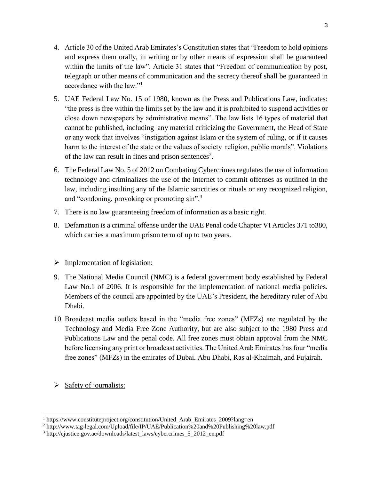- 4. Article 30 of the United Arab Emirates's Constitution states that "Freedom to hold opinions and express them orally, in writing or by other means of expression shall be guaranteed within the limits of the law". Article 31 states that "Freedom of communication by post, telegraph or other means of communication and the secrecy thereof shall be guaranteed in accordance with the law."<sup>1</sup>
- 5. UAE Federal Law No. 15 of 1980, known as the Press and Publications Law, indicates: "the press is free within the limits set by the law and it is prohibited to suspend activities or close down newspapers by administrative means". The law lists 16 types of material that cannot be published, including any material criticizing the Government, the Head of State or any work that involves "instigation against Islam or the system of ruling, or if it causes harm to the interest of the state or the values of society religion, public morals". Violations of the law can result in fines and prison sentences<sup>2</sup>.
- 6. The Federal Law No. 5 of 2012 on Combating Cybercrimes regulates the use of information technology and criminalizes the use of the internet to commit offenses as outlined in the law, including insulting any of the Islamic sanctities or rituals or any recognized religion, and "condoning, provoking or promoting sin".<sup>3</sup>
- 7. There is no law guaranteeing freedom of information as a basic right.
- 8. Defamation is a criminal offense under the UAE Penal code Chapter VI Articles 371 to380, which carries a maximum prison term of up to two years.

## $\triangleright$  Implementation of legislation:

- 9. The National Media Council (NMC) is a federal government body established by Federal Law No.1 of 2006. It is responsible for the implementation of national media policies. Members of the council are appointed by the UAE's President, the hereditary ruler of Abu Dhabi.
- 10. Broadcast media outlets based in the "media free zones" (MFZs) are regulated by the Technology and Media Free Zone Authority, but are also subject to the 1980 Press and Publications Law and the penal code. All free zones must obtain approval from the NMC before licensing any print or broadcast activities. The United Arab Emirates has four "media free zones" (MFZs) in the emirates of Dubai, Abu Dhabi, Ras al-Khaimah, and Fujairah.
- $\triangleright$  Safety of journalists:

 $\overline{\phantom{a}}$ <sup>1</sup> https://www.constituteproject.org/constitution/United\_Arab\_Emirates\_2009?lang=en

<sup>2</sup> http://www.tag-legal.com/Upload/file/IP/UAE/Publication%20and%20Publishing%20law.pdf

 $3$  http://ejustice.gov.ae/downloads/latest\_laws/cybercrimes\_5\_2012\_en.pdf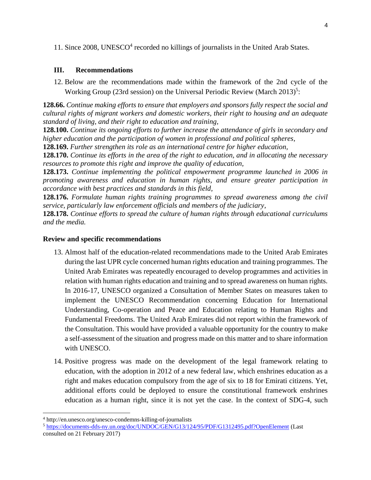11. Since 2008, UNESCO<sup>4</sup> recorded no killings of journalists in the United Arab States.

#### **III. Recommendations**

12. Below are the recommendations made within the framework of the 2nd cycle of the Working Group (23rd session) on the Universal Periodic Review (March 2013)<sup>5</sup>:

**128.66.** *Continue making efforts to ensure that employers and sponsors fully respect the social and cultural rights of migrant workers and domestic workers, their right to housing and an adequate standard of living, and their right to education and training,*

**128.100.** *Continue its ongoing efforts to further increase the attendance of girls in secondary and higher education and the participation of women in professional and political spheres,*

**128.169.** *Further strengthen its role as an international centre for higher education,*

**128.170.** *Continue its efforts in the area of the right to education, and in allocating the necessary resources to promote this right and improve the quality of education,*

**128.173.** *Continue implementing the political empowerment programme launched in 2006 in promoting awareness and education in human rights, and ensure greater participation in accordance with best practices and standards in this field,*

**128.176.** *Formulate human rights training programmes to spread awareness among the civil service, particularly law enforcement officials and members of the judiciary,*

**128.178.** *Continue efforts to spread the culture of human rights through educational curriculums and the media.*

#### **Review and specific recommendations**

- 13. Almost half of the education-related recommendations made to the United Arab Emirates during the last UPR cycle concerned human rights education and training programmes. The United Arab Emirates was repeatedly encouraged to develop programmes and activities in relation with human rights education and training and to spread awareness on human rights. In 2016-17, UNESCO organized a Consultation of Member States on measures taken to implement the UNESCO Recommendation concerning Education for International Understanding, Co-operation and Peace and Education relating to Human Rights and Fundamental Freedoms. The United Arab Emirates did not report within the framework of the Consultation. This would have provided a valuable opportunity for the country to make a self-assessment of the situation and progress made on this matter and to share information with UNESCO.
- 14. Positive progress was made on the development of the legal framework relating to education, with the adoption in 2012 of a new federal law, which enshrines education as a right and makes education compulsory from the age of six to 18 for Emirati citizens. Yet, additional efforts could be deployed to ensure the constitutional framework enshrines education as a human right, since it is not yet the case. In the context of SDG-4, such

 $\overline{\phantom{a}}$ <sup>4</sup> http://en.unesco.org/unesco-condemns-killing-of-journalists

<sup>5</sup> <https://documents-dds-ny.un.org/doc/UNDOC/GEN/G13/124/95/PDF/G1312495.pdf?OpenElement> (Last consulted on 21 February 2017)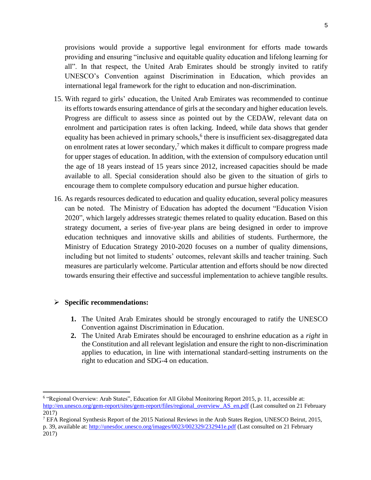provisions would provide a supportive legal environment for efforts made towards providing and ensuring "inclusive and equitable quality education and lifelong learning for all". In that respect, the United Arab Emirates should be strongly invited to ratify UNESCO's Convention against Discrimination in Education, which provides an international legal framework for the right to education and non-discrimination.

- 15. With regard to girls' education, the United Arab Emirates was recommended to continue its efforts towards ensuring attendance of girls at the secondary and higher education levels. Progress are difficult to assess since as pointed out by the CEDAW, relevant data on enrolment and participation rates is often lacking. Indeed, while data shows that gender equality has been achieved in primary schools,<sup>6</sup> there is insufficient sex-disaggregated data on enrolment rates at lower secondary, $\lambda$  which makes it difficult to compare progress made for upper stages of education. In addition, with the extension of compulsory education until the age of 18 years instead of 15 years since 2012, increased capacities should be made available to all. Special consideration should also be given to the situation of girls to encourage them to complete compulsory education and pursue higher education.
- 16. As regards resources dedicated to education and quality education, several policy measures can be noted. The Ministry of Education has adopted the document "Education Vision 2020", which largely addresses strategic themes related to quality education. Based on this strategy document, a series of five-year plans are being designed in order to improve education techniques and innovative skills and abilities of students. Furthermore, the Ministry of Education Strategy 2010-2020 focuses on a number of quality dimensions, including but not limited to students' outcomes, relevant skills and teacher training. Such measures are particularly welcome. Particular attention and efforts should be now directed towards ensuring their effective and successful implementation to achieve tangible results.

#### **Specific recommendations:**

- **1.** The United Arab Emirates should be strongly encouraged to ratify the UNESCO Convention against Discrimination in Education.
- **2.** The United Arab Emirates should be encouraged to enshrine education as a *right* in the Constitution and all relevant legislation and ensure the right to non-discrimination applies to education, in line with international standard-setting instruments on the right to education and SDG-4 on education.

 $\overline{\phantom{a}}$ 

<sup>6</sup> "Regional Overview: Arab States", Education for All Global Monitoring Report 2015, p. 11, accessible at: [http://en.unesco.org/gem-report/sites/gem-report/files/regional\\_overview\\_AS\\_en.pdf](http://en.unesco.org/gem-report/sites/gem-report/files/regional_overview_AS_en.pdf) (Last consulted on 21 February 2017)

<sup>7</sup> EFA Regional Synthesis Report of the 2015 National Reviews in the Arab States Region, UNESCO Beirut, 2015, p. 39, available at:<http://unesdoc.unesco.org/images/0023/002329/232941e.pdf> (Last consulted on 21 February

<sup>2017)</sup>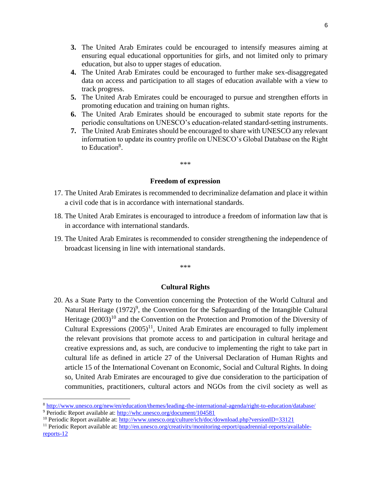- **3.** The United Arab Emirates could be encouraged to intensify measures aiming at ensuring equal educational opportunities for girls, and not limited only to primary education, but also to upper stages of education.
- **4.** The United Arab Emirates could be encouraged to further make sex-disaggregated data on access and participation to all stages of education available with a view to track progress.
- **5.** The United Arab Emirates could be encouraged to pursue and strengthen efforts in promoting education and training on human rights.
- **6.** The United Arab Emirates should be encouraged to submit state reports for the periodic consultations on UNESCO's education-related standard-setting instruments.
- **7.** The United Arab Emirates should be encouraged to share with UNESCO any relevant information to update its country profile on UNESCO's Global Database on the Right to Education<sup>8</sup>.

#### \*\*\*

#### **Freedom of expression**

- 17. The United Arab Emirates is recommended to decriminalize defamation and place it within a civil code that is in accordance with international standards.
- 18. The United Arab Emirates is encouraged to introduce a freedom of information law that is in accordance with international standards.
- 19. The United Arab Emirates is recommended to consider strengthening the independence of broadcast licensing in line with international standards.

\*\*\*

#### **Cultural Rights**

20. As a State Party to the Convention concerning the Protection of the World Cultural and Natural Heritage  $(1972)^9$ , the Convention for the Safeguarding of the Intangible Cultural Heritage  $(2003)^{10}$  and the Convention on the Protection and Promotion of the Diversity of Cultural Expressions  $(2005)^{11}$ , United Arab Emirates are encouraged to fully implement the relevant provisions that promote access to and participation in cultural heritage and creative expressions and, as such, are conducive to implementing the right to take part in cultural life as defined in article 27 of the Universal Declaration of Human Rights and article 15 of the International Covenant on Economic, Social and Cultural Rights. In doing so, United Arab Emirates are encouraged to give due consideration to the participation of communities, practitioners, cultural actors and NGOs from the civil society as well as

 $\overline{a}$ 

<sup>8</sup> <http://www.unesco.org/new/en/education/themes/leading-the-international-agenda/right-to-education/database/> <sup>9</sup> Periodic Report available at:<http://whc.unesco.org/document/104581>

<sup>&</sup>lt;sup>10</sup> Periodic Report available at:<http://www.unesco.org/culture/ich/doc/download.php?versionID=33121>

<sup>&</sup>lt;sup>11</sup> Periodic Report available at: [http://en.unesco.org/creativity/monitoring-report/quadrennial-reports/available](http://en.unesco.org/creativity/monitoring-report/quadrennial-reports/available-reports-12)[reports-12](http://en.unesco.org/creativity/monitoring-report/quadrennial-reports/available-reports-12)